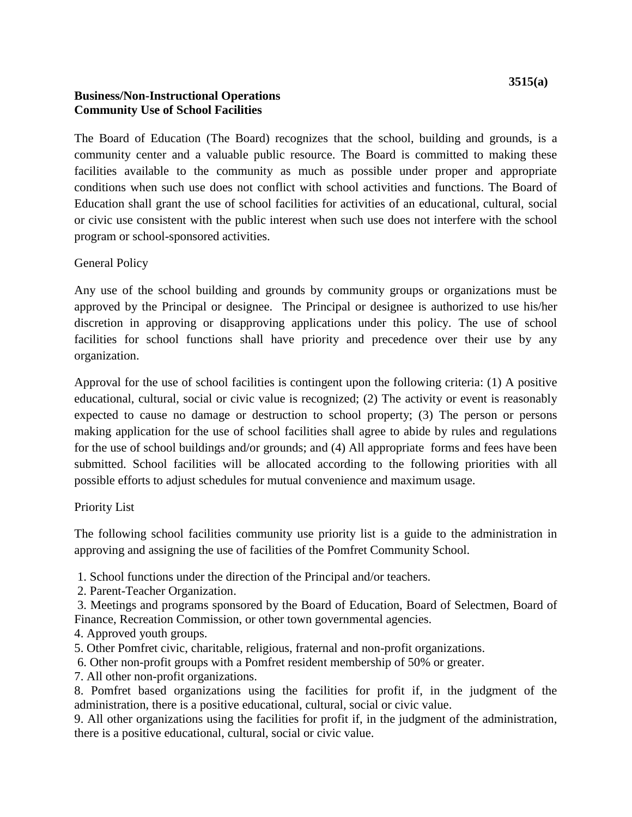The Board of Education (The Board) recognizes that the school, building and grounds, is a community center and a valuable public resource. The Board is committed to making these facilities available to the community as much as possible under proper and appropriate conditions when such use does not conflict with school activities and functions. The Board of Education shall grant the use of school facilities for activities of an educational, cultural, social or civic use consistent with the public interest when such use does not interfere with the school program or school-sponsored activities.

General Policy

Any use of the school building and grounds by community groups or organizations must be approved by the Principal or designee. The Principal or designee is authorized to use his/her discretion in approving or disapproving applications under this policy. The use of school facilities for school functions shall have priority and precedence over their use by any organization.

Approval for the use of school facilities is contingent upon the following criteria: (1) A positive educational, cultural, social or civic value is recognized; (2) The activity or event is reasonably expected to cause no damage or destruction to school property; (3) The person or persons making application for the use of school facilities shall agree to abide by rules and regulations for the use of school buildings and/or grounds; and (4) All appropriate forms and fees have been submitted. School facilities will be allocated according to the following priorities with all possible efforts to adjust schedules for mutual convenience and maximum usage.

#### Priority List

The following school facilities community use priority list is a guide to the administration in approving and assigning the use of facilities of the Pomfret Community School.

1. School functions under the direction of the Principal and/or teachers.

2. Parent-Teacher Organization.

3. Meetings and programs sponsored by the Board of Education, Board of Selectmen, Board of Finance, Recreation Commission, or other town governmental agencies.

- 4. Approved youth groups.
- 5. Other Pomfret civic, charitable, religious, fraternal and non-profit organizations.
- 6. Other non-profit groups with a Pomfret resident membership of 50% or greater.
- 7. All other non-profit organizations.

8. Pomfret based organizations using the facilities for profit if, in the judgment of the administration, there is a positive educational, cultural, social or civic value.

9. All other organizations using the facilities for profit if, in the judgment of the administration, there is a positive educational, cultural, social or civic value.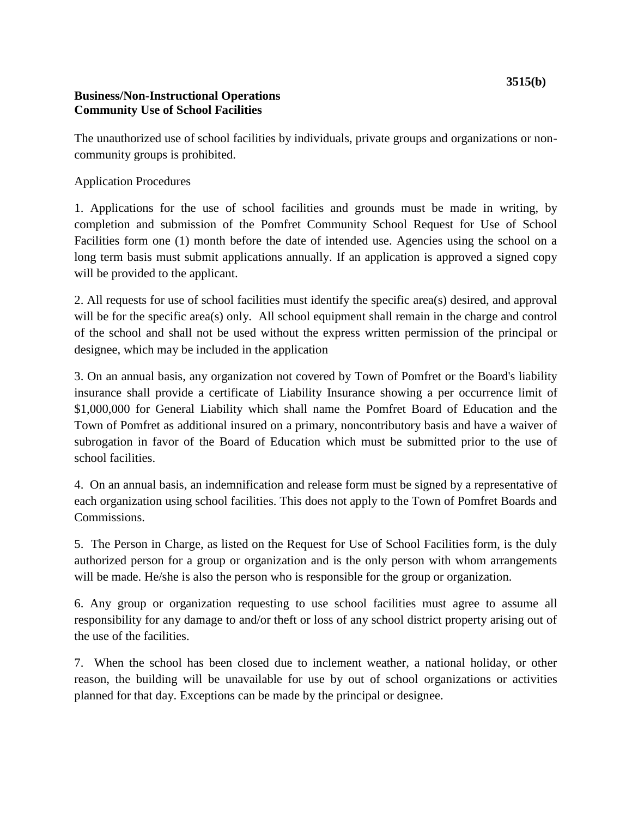The unauthorized use of school facilities by individuals, private groups and organizations or noncommunity groups is prohibited.

# Application Procedures

1. Applications for the use of school facilities and grounds must be made in writing, by completion and submission of the Pomfret Community School Request for Use of School Facilities form one (1) month before the date of intended use. Agencies using the school on a long term basis must submit applications annually. If an application is approved a signed copy will be provided to the applicant.

2. All requests for use of school facilities must identify the specific area(s) desired, and approval will be for the specific area(s) only. All school equipment shall remain in the charge and control of the school and shall not be used without the express written permission of the principal or designee, which may be included in the application

3. On an annual basis, any organization not covered by Town of Pomfret or the Board's liability insurance shall provide a certificate of Liability Insurance showing a per occurrence limit of \$1,000,000 for General Liability which shall name the Pomfret Board of Education and the Town of Pomfret as additional insured on a primary, noncontributory basis and have a waiver of subrogation in favor of the Board of Education which must be submitted prior to the use of school facilities.

4. On an annual basis, an indemnification and release form must be signed by a representative of each organization using school facilities. This does not apply to the Town of Pomfret Boards and Commissions.

5. The Person in Charge, as listed on the Request for Use of School Facilities form, is the duly authorized person for a group or organization and is the only person with whom arrangements will be made. He/she is also the person who is responsible for the group or organization.

6. Any group or organization requesting to use school facilities must agree to assume all responsibility for any damage to and/or theft or loss of any school district property arising out of the use of the facilities.

7. When the school has been closed due to inclement weather, a national holiday, or other reason, the building will be unavailable for use by out of school organizations or activities planned for that day. Exceptions can be made by the principal or designee.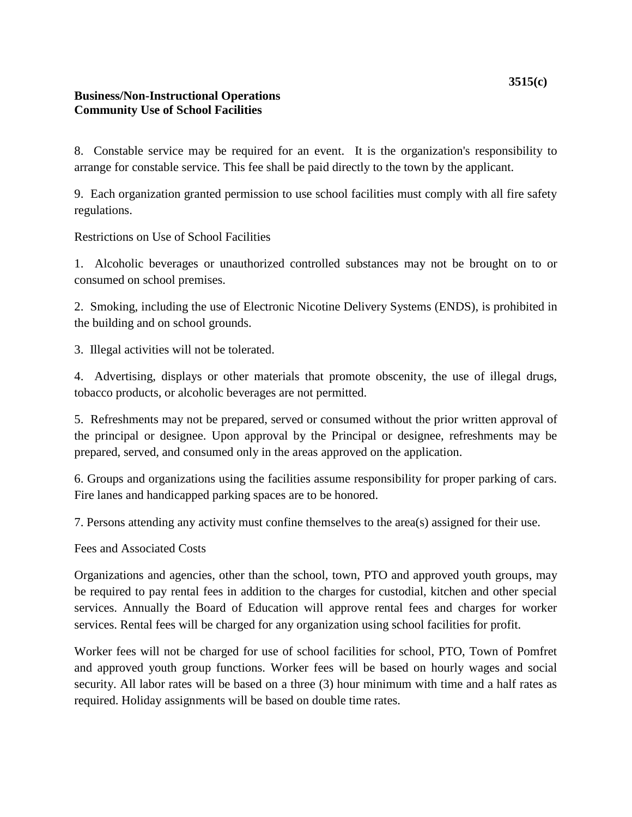8. Constable service may be required for an event. It is the organization's responsibility to arrange for constable service. This fee shall be paid directly to the town by the applicant.

9. Each organization granted permission to use school facilities must comply with all fire safety regulations.

Restrictions on Use of School Facilities

1. Alcoholic beverages or unauthorized controlled substances may not be brought on to or consumed on school premises.

2. Smoking, including the use of Electronic Nicotine Delivery Systems (ENDS), is prohibited in the building and on school grounds.

3. Illegal activities will not be tolerated.

4. Advertising, displays or other materials that promote obscenity, the use of illegal drugs, tobacco products, or alcoholic beverages are not permitted.

5. Refreshments may not be prepared, served or consumed without the prior written approval of the principal or designee. Upon approval by the Principal or designee, refreshments may be prepared, served, and consumed only in the areas approved on the application.

6. Groups and organizations using the facilities assume responsibility for proper parking of cars. Fire lanes and handicapped parking spaces are to be honored.

7. Persons attending any activity must confine themselves to the area(s) assigned for their use.

Fees and Associated Costs

Organizations and agencies, other than the school, town, PTO and approved youth groups, may be required to pay rental fees in addition to the charges for custodial, kitchen and other special services. Annually the Board of Education will approve rental fees and charges for worker services. Rental fees will be charged for any organization using school facilities for profit.

Worker fees will not be charged for use of school facilities for school, PTO, Town of Pomfret and approved youth group functions. Worker fees will be based on hourly wages and social security. All labor rates will be based on a three (3) hour minimum with time and a half rates as required. Holiday assignments will be based on double time rates.